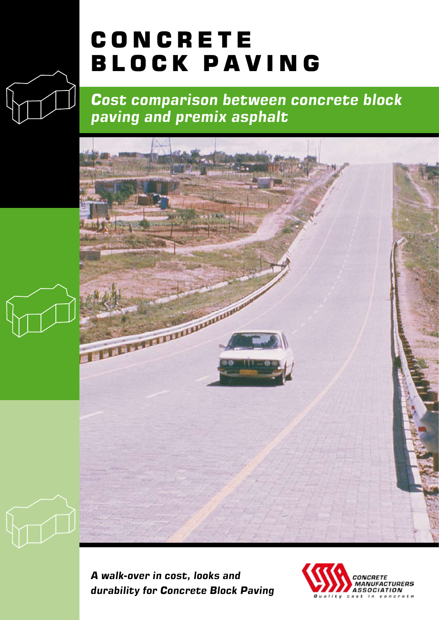# CONCRETE BLOCK PAVING

*Cost comparison between concrete block paving and premix asphalt*



*A walk-over in cost, looks and durability for Concrete Block Paving*

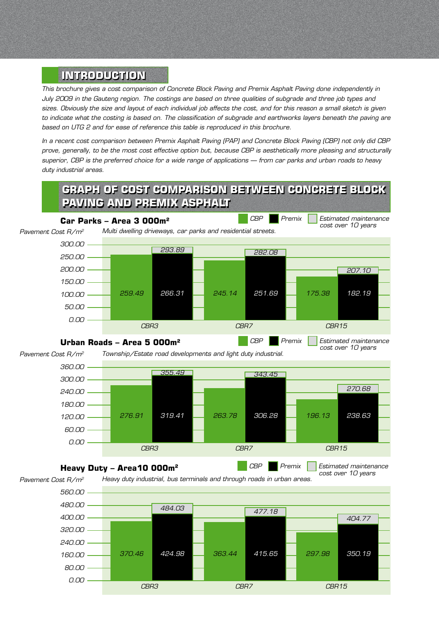#### **INTRODUCTION**

*This brochure gives a cost comparison of Concrete Block Paving and Premix Asphalt Paving done independently in July 2009 in the Gauteng region. The costings are based on three qualities of subgrade and three job types and sizes. Obviously the size and layout of each individual job affects the cost, and for this reason a small sketch is given to indicate what the costing is based on. The classification of subgrade and earthworks layers beneath the paving are based on UTG 2 and for ease of reference this table is reproduced in this brochure.*

*In a recent cost comparison between Premix Asphalt Paving (PAP) and Concrete Block Paving (CBP) not only did CBP prove, generally, to be the most cost effective option but, because CBP is aesthetically more pleasing and structurally superior, CBP is the preferred choice for a wide range of applications – from car parks and urban roads to heavy duty industrial areas.*

# **graph of cost comparison between concrete block paving and premix asphalt**



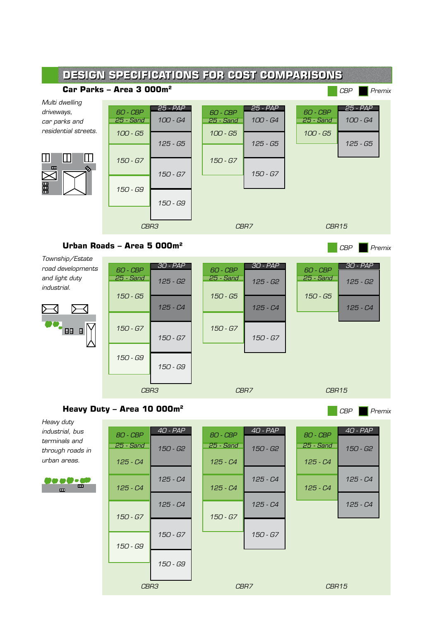

*Heavy duty industrial, bus terminals and through roads in urban areas.*



| <b>80 - CBP</b><br>25 - Sand<br>$125 - C4$ | $40 - PAP$<br>150 - G2 | <b>80 - CBP</b><br>25 - Sand<br>$125 - C4$ | $40 - PAP$<br>150 - G2 | <b>80 - CBP</b><br>25 - Sand<br>125 - C4 | $40 - PAP$<br>150 - G2 |
|--------------------------------------------|------------------------|--------------------------------------------|------------------------|------------------------------------------|------------------------|
| $125 - C4$                                 | 125 - C4               | $125 - C4$                                 | 125 - C4               | $125 - C4$                               | 125 - C4               |
| $150 - 67$                                 | $125 - C4$             | $150 - 67$                                 | 125 - C4               |                                          | 125 - C4               |
|                                            | 150 - G7               |                                            | 150 - G7               |                                          |                        |
| 150 - G9                                   | 150 - G9               |                                            |                        |                                          |                        |
| CBR3                                       |                        | CBR7                                       |                        | CBR15                                    |                        |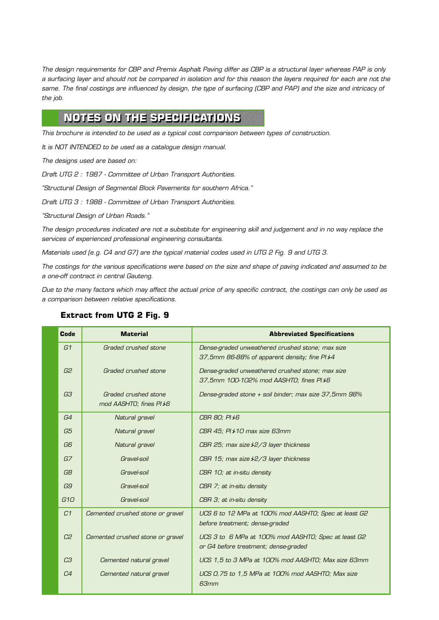*The design requirements for CBP and Premix Asphalt Paving differ as CBP is a structural layer whereas PAP is only a surfacing layer and should not be compared in isolation and for this reason the layers required for each are not the*  same. The final costings are influenced by design, the type of surfacing (CBP and PAP) and the size and intricacy of *the job.*

### **Notes on the Specifications**

*This brochure is intended to be used as a typical cost comparison between types of construction.*

*It is NOT INTENDED to be used as a catalogue design manual.*

*The designs used are based on:*

*Draft UTG 2 : 1987 - Committee of Urban Transport Authorities.*

*"Structural Design of Segmental Block Pavements for southern Africa."*

*Draft UTG 3 : 1988 - Committee of Urban Transport Authorities.*

*"Structural Design of Urban Roads."*

*The design procedures indicated are not a substitute for engineering skill and judgement and in no way replace the services of experienced professional engineering consultants.*

*Materials used (e.g. C4 and G7) are the typical material codes used in UTG 2 Fig. 9 and UTG 3.*

*The costings for the various specifications were based on the size and shape of paving indicated and assumed to be a one-off contract in central Gauteng.*

*Due to the many factors which may affect the actual price of any specific contract, the costings can only be used as a comparison between relative specifications.*

#### **Extract from UTG 2 Fig. 9**

| <b>Code</b>     | <b>Material</b>                  | <b>Abbreviated Specifications</b>                     |
|-----------------|----------------------------------|-------------------------------------------------------|
| G1              | Graded crushed stone             | Dense-graded unweathered crushed stone; max size      |
|                 |                                  | 37,5mm 86-88% of apparent density; fine PI\$4         |
| G2              | Graded crushed stone             | Dense-graded unweathered crushed stone; max size      |
|                 |                                  | 37,5mm 100-102% mod AASHTO; fines PI *6               |
| G3              | Graded crushed stone             | Dense-graded stone + soil binder; max size 37,5mm 98% |
|                 | mod AASHTO; fines PI <i>\</i> 6  |                                                       |
| G4              | Natural gravel                   | CBR 80; PI ≯6                                         |
| G5              | Natural gravel                   | CBR 45; PI ≯10 max size 63mm                          |
| G6              | Natural gravel                   | CBR 25; max size $\frac{1}{2}$ aver thickness         |
| G7              | Gravel-soil                      | CBR 15; max size $\frac{1}{2}$ ayer thickness         |
| G8              | Gravel-soil                      | CBR 10; at in-situ density                            |
| G9              | Gravel-soil                      | CBR 7; at in-situ density                             |
| G <sub>10</sub> | Gravel-soil                      | CBR 3; at in-situ density                             |
| C <sub>1</sub>  | Cemented crushed stone or gravel | UCS 6 to 12 MPa at 100% mod AASHTO; Spec at least G2  |
|                 |                                  | before treatment; dense-graded                        |
| C <sub>2</sub>  | Cemented crushed stone or gravel | UCS 3 to 6 MPa at 100% mod AASHTO; Spec at least G2   |
|                 |                                  | or G4 before treatment; dense-graded                  |
| C <sub>3</sub>  | Cemented natural gravel          | UCS 1,5 to 3 MPa at 100% mod AASHTO; Max size 63mm    |
| C <sub>4</sub>  | Cemented natural gravel          | UCS 0,75 to 1,5 MPa at 100% mod AASHT0; Max size      |
|                 |                                  | 63mm                                                  |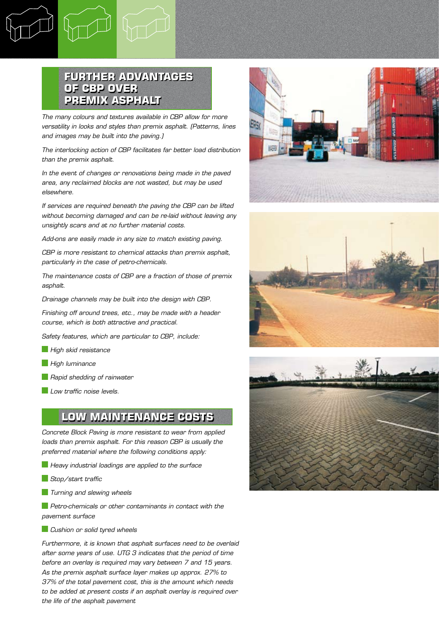#### **Further advantages of CBP over Premix Asphalt**

*The many colours and textures available in CBP allow for more versatility in looks and styles than premix asphalt. (Patterns, lines and images may be built into the paving.)*

*The interlocking action of CBP facilitates far better load distribution than the premix asphalt.*

*In the event of changes or renovations being made in the paved area, any reclaimed blocks are not wasted, but may be used elsewhere.*

*If services are required beneath the paving the CBP can be lifted without becoming damaged and can be re-laid without leaving any unsightly scars and at no further material costs.*

*Add-ons are easily made in any size to match existing paving.*

*CBP is more resistant to chemical attacks than premix asphalt, particularly in the case of petro-chemicals.*

*The maintenance costs of CBP are a fraction of those of premix asphalt.*

*Drainage channels may be built into the design with CBP.*

*Finishing off around trees, etc., may be made with a header course, which is both attractive and practical.*

*Safety features, which are particular to CBP, include:*

- *High skid resistance*
- *High luminance*
- *Rapid shedding of rainwater*
- *Low traffic noise levels.*

#### **Low Maintenance Costs**

*Concrete Block Paving is more resistant to wear from applied loads than premix asphalt. For this reason CBP is usually the preferred material where the following conditions apply:*

- *Heavy industrial loadings are applied to the surface*
- *Stop/start traffic*
- *Turning and slewing wheels*

 *Petro-chemicals or other contaminants in contact with the pavement surface*

 *Cushion or solid tyred wheels*

*Furthermore, it is known that asphalt surfaces need to be overlaid after some years of use. UTG 3 indicates that the period of time before an overlay is required may vary between 7 and 15 years. As the premix asphalt surface layer makes up approx. 27% to 37% of the total pavement cost, this is the amount which needs to be added at present costs if an asphalt overlay is required over the life of the asphalt pavement*